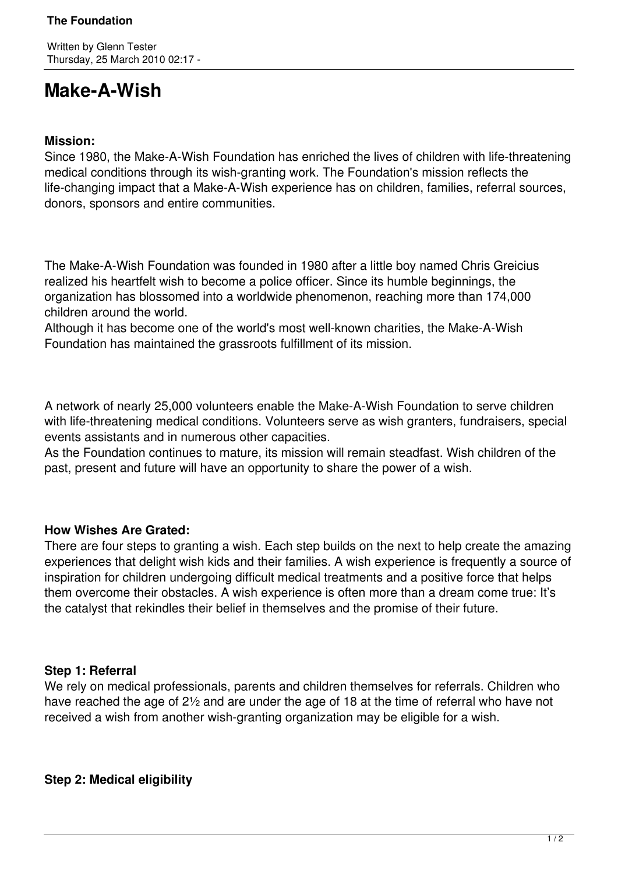# **Make-A-Wish**

### **Mission:**

Since 1980, the Make-A-Wish Foundation has enriched the lives of children with life-threatening medical conditions through its wish-granting work. The Foundation's mission reflects the life-changing impact that a Make-A-Wish experience has on children, families, referral sources, donors, sponsors and entire communities.

The Make-A-Wish Foundation was founded in 1980 after a little boy named Chris Greicius realized his heartfelt wish to become a police officer. Since its humble beginnings, the organization has blossomed into a worldwide phenomenon, reaching more than 174,000 children around the world.

Although it has become one of the world's most well-known charities, the Make-A-Wish Foundation has maintained the grassroots fulfillment of its mission.

A network of nearly 25,000 volunteers enable the Make-A-Wish Foundation to serve children with life-threatening medical conditions. Volunteers serve as wish granters, fundraisers, special events assistants and in numerous other capacities.

As the Foundation continues to mature, its mission will remain steadfast. Wish children of the past, present and future will have an opportunity to share the power of a wish.

## **How Wishes Are Grated:**

There are four steps to granting a wish. Each step builds on the next to help create the amazing experiences that delight wish kids and their families. A wish experience is frequently a source of inspiration for children undergoing difficult medical treatments and a positive force that helps them overcome their obstacles. A wish experience is often more than a dream come true: It's the catalyst that rekindles their belief in themselves and the promise of their future.

#### **Step 1: Referral**

We rely on medical professionals, parents and children themselves for referrals. Children who have reached the age of 2½ and are under the age of 18 at the time of referral who have not received a wish from another wish-granting organization may be eligible for a wish.

#### **Step 2: Medical eligibility**